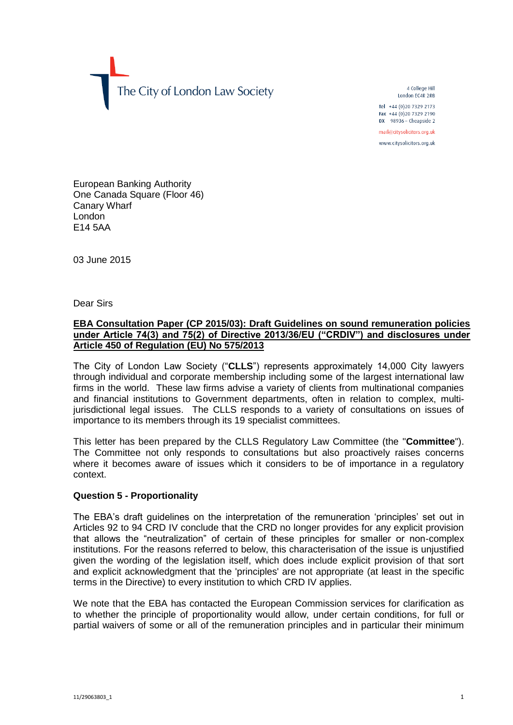The City of London Law Society

4 College Hill London FC4R 2RB

Tel +44 (0)20 7329 2173 Fax +44 (0) 20 7329 2190 DX  $98936$  - Cheapside 2

mail@citysolicitors.org.uk

www.citysolicitors.org.uk

European Banking Authority One Canada Square (Floor 46) Canary Wharf London E14 5AA

03 June 2015

Dear Sirs

# **EBA Consultation Paper (CP 2015/03): Draft Guidelines on sound remuneration policies under Article 74(3) and 75(2) of Directive 2013/36/EU ("CRDIV") and disclosures under Article 450 of Regulation (EU) No 575/2013**

The City of London Law Society ("**CLLS**") represents approximately 14,000 City lawyers through individual and corporate membership including some of the largest international law firms in the world. These law firms advise a variety of clients from multinational companies and financial institutions to Government departments, often in relation to complex, multijurisdictional legal issues. The CLLS responds to a variety of consultations on issues of importance to its members through its 19 specialist committees.

This letter has been prepared by the CLLS Regulatory Law Committee (the "**Committee**"). The Committee not only responds to consultations but also proactively raises concerns where it becomes aware of issues which it considers to be of importance in a regulatory context.

# **Question 5 - Proportionality**

The EBA's draft guidelines on the interpretation of the remuneration 'principles' set out in Articles 92 to 94 CRD IV conclude that the CRD no longer provides for any explicit provision that allows the "neutralization" of certain of these principles for smaller or non-complex institutions. For the reasons referred to below, this characterisation of the issue is unjustified given the wording of the legislation itself, which does include explicit provision of that sort and explicit acknowledgment that the 'principles' are not appropriate (at least in the specific terms in the Directive) to every institution to which CRD IV applies.

We note that the EBA has contacted the European Commission services for clarification as to whether the principle of proportionality would allow, under certain conditions, for full or partial waivers of some or all of the remuneration principles and in particular their minimum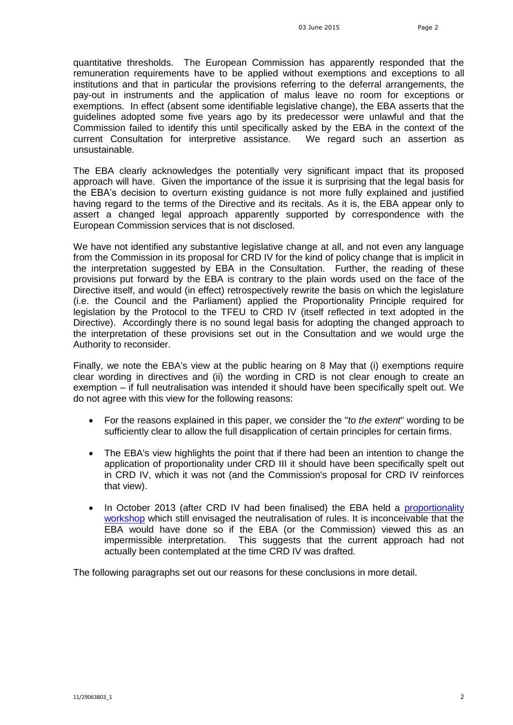quantitative thresholds. The European Commission has apparently responded that the remuneration requirements have to be applied without exemptions and exceptions to all institutions and that in particular the provisions referring to the deferral arrangements, the pay-out in instruments and the application of malus leave no room for exceptions or exemptions. In effect (absent some identifiable legislative change), the EBA asserts that the guidelines adopted some five years ago by its predecessor were unlawful and that the Commission failed to identify this until specifically asked by the EBA in the context of the current Consultation for interpretive assistance. We regard such an assertion as unsustainable.

The EBA clearly acknowledges the potentially very significant impact that its proposed approach will have. Given the importance of the issue it is surprising that the legal basis for the EBA's decision to overturn existing guidance is not more fully explained and justified having regard to the terms of the Directive and its recitals. As it is, the EBA appear only to assert a changed legal approach apparently supported by correspondence with the European Commission services that is not disclosed.

We have not identified any substantive legislative change at all, and not even any language from the Commission in its proposal for CRD IV for the kind of policy change that is implicit in the interpretation suggested by EBA in the Consultation. Further, the reading of these provisions put forward by the EBA is contrary to the plain words used on the face of the Directive itself, and would (in effect) retrospectively rewrite the basis on which the legislature (i.e. the Council and the Parliament) applied the Proportionality Principle required for legislation by the Protocol to the TFEU to CRD IV (itself reflected in text adopted in the Directive). Accordingly there is no sound legal basis for adopting the changed approach to the interpretation of these provisions set out in the Consultation and we would urge the Authority to reconsider.

Finally, we note the EBA's view at the public hearing on 8 May that (i) exemptions require clear wording in directives and (ii) the wording in CRD is not clear enough to create an exemption – if full neutralisation was intended it should have been specifically spelt out. We do not agree with this view for the following reasons:

- For the reasons explained in this paper, we consider the "*to the extent*" wording to be sufficiently clear to allow the full disapplication of certain principles for certain firms.
- The EBA's view highlights the point that if there had been an intention to change the application of proportionality under CRD III it should have been specifically spelt out in CRD IV, which it was not (and the Commission's proposal for CRD IV reinforces that view).
- In October 2013 (after CRD IV had been finalised) the EBA held a [proportionality](http://www.eba.europa.eu/documents/10180/410740/05.+Governance+and+Remuneration+Jo+Swyngedow)  [workshop](http://www.eba.europa.eu/documents/10180/410740/05.+Governance+and+Remuneration+Jo+Swyngedow) which still envisaged the neutralisation of rules. It is inconceivable that the EBA would have done so if the EBA (or the Commission) viewed this as an impermissible interpretation. This suggests that the current approach had not actually been contemplated at the time CRD IV was drafted.

The following paragraphs set out our reasons for these conclusions in more detail.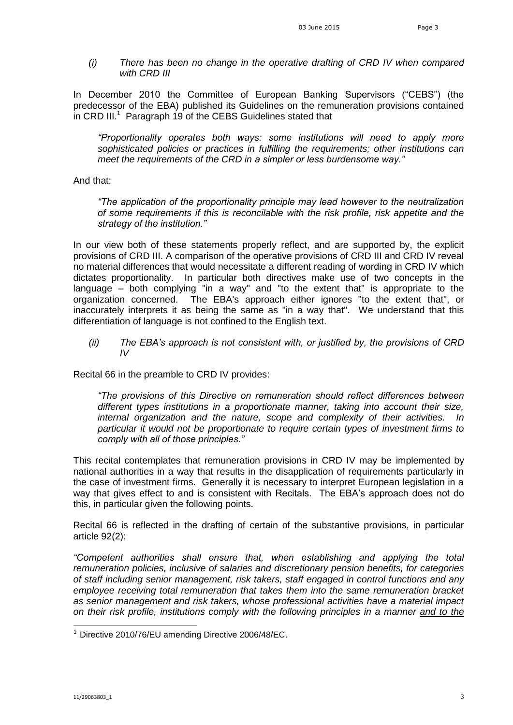*(i) There has been no change in the operative drafting of CRD IV when compared with CRD III*

In December 2010 the Committee of European Banking Supervisors ("CEBS") (the predecessor of the EBA) published its Guidelines on the remuneration provisions contained in CRD III. $1$  Paragraph 19 of the CEBS Guidelines stated that

*"Proportionality operates both ways: some institutions will need to apply more sophisticated policies or practices in fulfilling the requirements; other institutions can meet the requirements of the CRD in a simpler or less burdensome way."*

And that:

*"The application of the proportionality principle may lead however to the neutralization of some requirements if this is reconcilable with the risk profile, risk appetite and the strategy of the institution."*

In our view both of these statements properly reflect, and are supported by, the explicit provisions of CRD III. A comparison of the operative provisions of CRD III and CRD IV reveal no material differences that would necessitate a different reading of wording in CRD IV which dictates proportionality. In particular both directives make use of two concepts in the language – both complying "in a way" and "to the extent that" is appropriate to the organization concerned. The EBA's approach either ignores "to the extent that", or inaccurately interprets it as being the same as "in a way that". We understand that this differentiation of language is not confined to the English text.

*(ii) The EBA's approach is not consistent with, or justified by, the provisions of CRD IV* 

Recital 66 in the preamble to CRD IV provides:

*"The provisions of this Directive on remuneration should reflect differences between different types institutions in a proportionate manner, taking into account their size, internal organization and the nature, scope and complexity of their activities. In particular it would not be proportionate to require certain types of investment firms to comply with all of those principles."* 

This recital contemplates that remuneration provisions in CRD IV may be implemented by national authorities in a way that results in the disapplication of requirements particularly in the case of investment firms. Generally it is necessary to interpret European legislation in a way that gives effect to and is consistent with Recitals. The EBA's approach does not do this, in particular given the following points.

Recital 66 is reflected in the drafting of certain of the substantive provisions, in particular article 92(2):

*"Competent authorities shall ensure that, when establishing and applying the total remuneration policies, inclusive of salaries and discretionary pension benefits, for categories of staff including senior management, risk takers, staff engaged in control functions and any employee receiving total remuneration that takes them into the same remuneration bracket as senior management and risk takers, whose professional activities have a material impact on their risk profile, institutions comply with the following principles in a manner and to the* 

-

<sup>&</sup>lt;sup>1</sup> Directive 2010/76/EU amending Directive 2006/48/EC.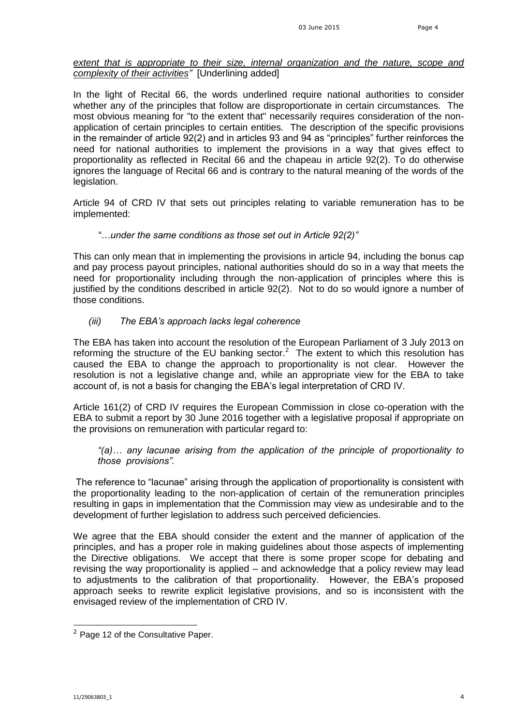## *extent that is appropriate to their size, internal organization and the nature, scope and complexity of their activities"* [Underlining added]

In the light of Recital 66, the words underlined require national authorities to consider whether any of the principles that follow are disproportionate in certain circumstances. The most obvious meaning for "to the extent that" necessarily requires consideration of the nonapplication of certain principles to certain entities. The description of the specific provisions in the remainder of article 92(2) and in articles 93 and 94 as "principles" further reinforces the need for national authorities to implement the provisions in a way that gives effect to proportionality as reflected in Recital 66 and the chapeau in article 92(2). To do otherwise ignores the language of Recital 66 and is contrary to the natural meaning of the words of the legislation.

Article 94 of CRD IV that sets out principles relating to variable remuneration has to be implemented:

#### *"…under the same conditions as those set out in Article 92(2)"*

This can only mean that in implementing the provisions in article 94, including the bonus cap and pay process payout principles, national authorities should do so in a way that meets the need for proportionality including through the non-application of principles where this is justified by the conditions described in article 92(2). Not to do so would ignore a number of those conditions.

# *(iii) The EBA's approach lacks legal coherence*

The EBA has taken into account the resolution of the European Parliament of 3 July 2013 on reforming the structure of the EU banking sector.<sup>2</sup> The extent to which this resolution has caused the EBA to change the approach to proportionality is not clear. However the resolution is not a legislative change and, while an appropriate view for the EBA to take account of, is not a basis for changing the EBA's legal interpretation of CRD IV.

Article 161(2) of CRD IV requires the European Commission in close co-operation with the EBA to submit a report by 30 June 2016 together with a legislative proposal if appropriate on the provisions on remuneration with particular regard to:

## *"(a)… any lacunae arising from the application of the principle of proportionality to those provisions".*

The reference to "lacunae" arising through the application of proportionality is consistent with the proportionality leading to the non-application of certain of the remuneration principles resulting in gaps in implementation that the Commission may view as undesirable and to the development of further legislation to address such perceived deficiencies.

We agree that the EBA should consider the extent and the manner of application of the principles, and has a proper role in making guidelines about those aspects of implementing the Directive obligations. We accept that there is some proper scope for debating and revising the way proportionality is applied – and acknowledge that a policy review may lead to adjustments to the calibration of that proportionality. However, the EBA's proposed approach seeks to rewrite explicit legislative provisions, and so is inconsistent with the envisaged review of the implementation of CRD IV.

-

 $2$  Page 12 of the Consultative Paper.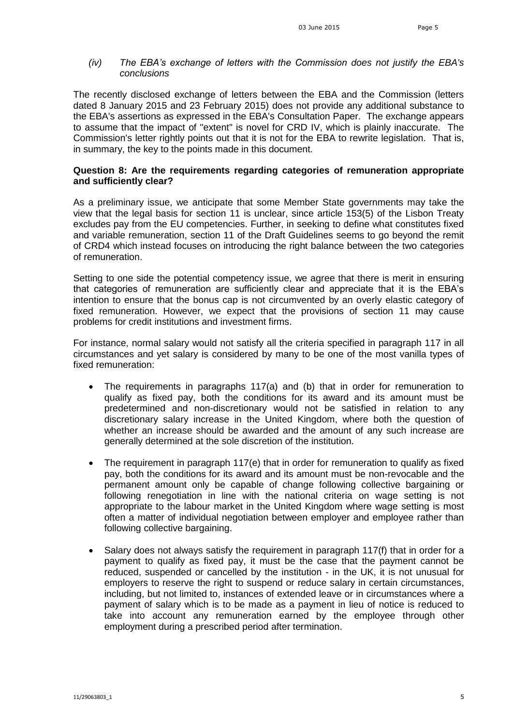# *(iv) The EBA's exchange of letters with the Commission does not justify the EBA's conclusions*

The recently disclosed exchange of letters between the EBA and the Commission (letters dated 8 January 2015 and 23 February 2015) does not provide any additional substance to the EBA's assertions as expressed in the EBA's Consultation Paper. The exchange appears to assume that the impact of "extent" is novel for CRD IV, which is plainly inaccurate. The Commission's letter rightly points out that it is not for the EBA to rewrite legislation. That is, in summary, the key to the points made in this document.

### **Question 8: Are the requirements regarding categories of remuneration appropriate and sufficiently clear?**

As a preliminary issue, we anticipate that some Member State governments may take the view that the legal basis for section 11 is unclear, since article 153(5) of the Lisbon Treaty excludes pay from the EU competencies. Further, in seeking to define what constitutes fixed and variable remuneration, section 11 of the Draft Guidelines seems to go beyond the remit of CRD4 which instead focuses on introducing the right balance between the two categories of remuneration.

Setting to one side the potential competency issue, we agree that there is merit in ensuring that categories of remuneration are sufficiently clear and appreciate that it is the EBA's intention to ensure that the bonus cap is not circumvented by an overly elastic category of fixed remuneration. However, we expect that the provisions of section 11 may cause problems for credit institutions and investment firms.

For instance, normal salary would not satisfy all the criteria specified in paragraph 117 in all circumstances and yet salary is considered by many to be one of the most vanilla types of fixed remuneration:

- The requirements in paragraphs 117(a) and (b) that in order for remuneration to qualify as fixed pay, both the conditions for its award and its amount must be predetermined and non-discretionary would not be satisfied in relation to any discretionary salary increase in the United Kingdom, where both the question of whether an increase should be awarded and the amount of any such increase are generally determined at the sole discretion of the institution.
- The requirement in paragraph 117(e) that in order for remuneration to qualify as fixed pay, both the conditions for its award and its amount must be non-revocable and the permanent amount only be capable of change following collective bargaining or following renegotiation in line with the national criteria on wage setting is not appropriate to the labour market in the United Kingdom where wage setting is most often a matter of individual negotiation between employer and employee rather than following collective bargaining.
- Salary does not always satisfy the requirement in paragraph 117(f) that in order for a payment to qualify as fixed pay, it must be the case that the payment cannot be reduced, suspended or cancelled by the institution - in the UK, it is not unusual for employers to reserve the right to suspend or reduce salary in certain circumstances, including, but not limited to, instances of extended leave or in circumstances where a payment of salary which is to be made as a payment in lieu of notice is reduced to take into account any remuneration earned by the employee through other employment during a prescribed period after termination.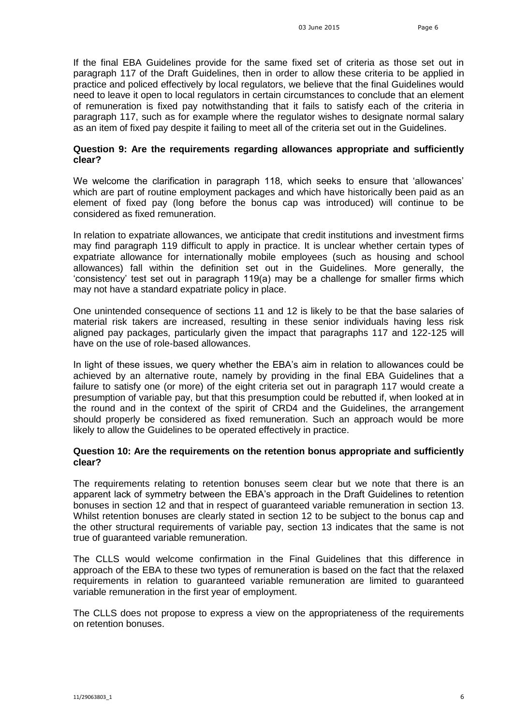If the final EBA Guidelines provide for the same fixed set of criteria as those set out in paragraph 117 of the Draft Guidelines, then in order to allow these criteria to be applied in practice and policed effectively by local regulators, we believe that the final Guidelines would need to leave it open to local regulators in certain circumstances to conclude that an element of remuneration is fixed pay notwithstanding that it fails to satisfy each of the criteria in paragraph 117, such as for example where the regulator wishes to designate normal salary as an item of fixed pay despite it failing to meet all of the criteria set out in the Guidelines.

### **Question 9: Are the requirements regarding allowances appropriate and sufficiently clear?**

We welcome the clarification in paragraph 118, which seeks to ensure that 'allowances' which are part of routine employment packages and which have historically been paid as an element of fixed pay (long before the bonus cap was introduced) will continue to be considered as fixed remuneration.

In relation to expatriate allowances, we anticipate that credit institutions and investment firms may find paragraph 119 difficult to apply in practice. It is unclear whether certain types of expatriate allowance for internationally mobile employees (such as housing and school allowances) fall within the definition set out in the Guidelines. More generally, the 'consistency' test set out in paragraph 119(a) may be a challenge for smaller firms which may not have a standard expatriate policy in place.

One unintended consequence of sections 11 and 12 is likely to be that the base salaries of material risk takers are increased, resulting in these senior individuals having less risk aligned pay packages, particularly given the impact that paragraphs 117 and 122-125 will have on the use of role-based allowances.

In light of these issues, we query whether the EBA's aim in relation to allowances could be achieved by an alternative route, namely by providing in the final EBA Guidelines that a failure to satisfy one (or more) of the eight criteria set out in paragraph 117 would create a presumption of variable pay, but that this presumption could be rebutted if, when looked at in the round and in the context of the spirit of CRD4 and the Guidelines, the arrangement should properly be considered as fixed remuneration. Such an approach would be more likely to allow the Guidelines to be operated effectively in practice.

## **Question 10: Are the requirements on the retention bonus appropriate and sufficiently clear?**

The requirements relating to retention bonuses seem clear but we note that there is an apparent lack of symmetry between the EBA's approach in the Draft Guidelines to retention bonuses in section 12 and that in respect of guaranteed variable remuneration in section 13. Whilst retention bonuses are clearly stated in section 12 to be subject to the bonus cap and the other structural requirements of variable pay, section 13 indicates that the same is not true of guaranteed variable remuneration.

The CLLS would welcome confirmation in the Final Guidelines that this difference in approach of the EBA to these two types of remuneration is based on the fact that the relaxed requirements in relation to guaranteed variable remuneration are limited to guaranteed variable remuneration in the first year of employment.

The CLLS does not propose to express a view on the appropriateness of the requirements on retention bonuses.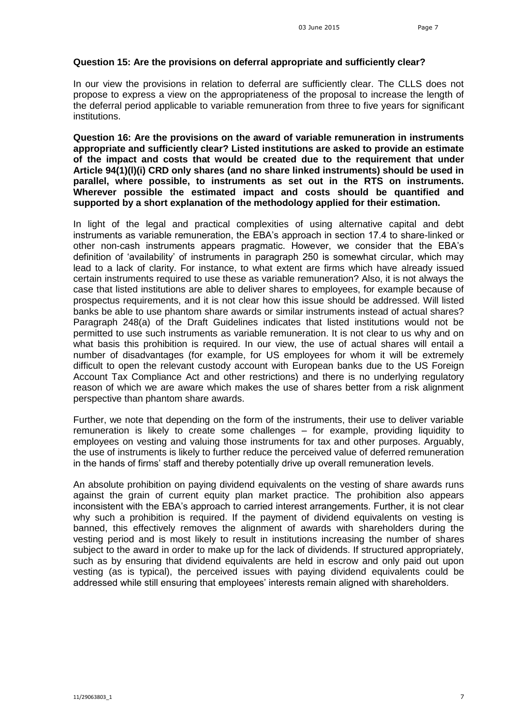### **Question 15: Are the provisions on deferral appropriate and sufficiently clear?**

In our view the provisions in relation to deferral are sufficiently clear. The CLLS does not propose to express a view on the appropriateness of the proposal to increase the length of the deferral period applicable to variable remuneration from three to five years for significant institutions.

**Question 16: Are the provisions on the award of variable remuneration in instruments appropriate and sufficiently clear? Listed institutions are asked to provide an estimate of the impact and costs that would be created due to the requirement that under Article 94(1)(l)(i) CRD only shares (and no share linked instruments) should be used in parallel, where possible, to instruments as set out in the RTS on instruments. Wherever possible the estimated impact and costs should be quantified and supported by a short explanation of the methodology applied for their estimation.**

In light of the legal and practical complexities of using alternative capital and debt instruments as variable remuneration, the EBA's approach in section 17.4 to share-linked or other non-cash instruments appears pragmatic. However, we consider that the EBA's definition of 'availability' of instruments in paragraph 250 is somewhat circular, which may lead to a lack of clarity. For instance, to what extent are firms which have already issued certain instruments required to use these as variable remuneration? Also, it is not always the case that listed institutions are able to deliver shares to employees, for example because of prospectus requirements, and it is not clear how this issue should be addressed. Will listed banks be able to use phantom share awards or similar instruments instead of actual shares? Paragraph 248(a) of the Draft Guidelines indicates that listed institutions would not be permitted to use such instruments as variable remuneration. It is not clear to us why and on what basis this prohibition is required. In our view, the use of actual shares will entail a number of disadvantages (for example, for US employees for whom it will be extremely difficult to open the relevant custody account with European banks due to the US Foreign Account Tax Compliance Act and other restrictions) and there is no underlying regulatory reason of which we are aware which makes the use of shares better from a risk alignment perspective than phantom share awards.

Further, we note that depending on the form of the instruments, their use to deliver variable remuneration is likely to create some challenges – for example, providing liquidity to employees on vesting and valuing those instruments for tax and other purposes. Arguably, the use of instruments is likely to further reduce the perceived value of deferred remuneration in the hands of firms' staff and thereby potentially drive up overall remuneration levels.

An absolute prohibition on paying dividend equivalents on the vesting of share awards runs against the grain of current equity plan market practice. The prohibition also appears inconsistent with the EBA's approach to carried interest arrangements. Further, it is not clear why such a prohibition is required. If the payment of dividend equivalents on vesting is banned, this effectively removes the alignment of awards with shareholders during the vesting period and is most likely to result in institutions increasing the number of shares subject to the award in order to make up for the lack of dividends. If structured appropriately, such as by ensuring that dividend equivalents are held in escrow and only paid out upon vesting (as is typical), the perceived issues with paying dividend equivalents could be addressed while still ensuring that employees' interests remain aligned with shareholders.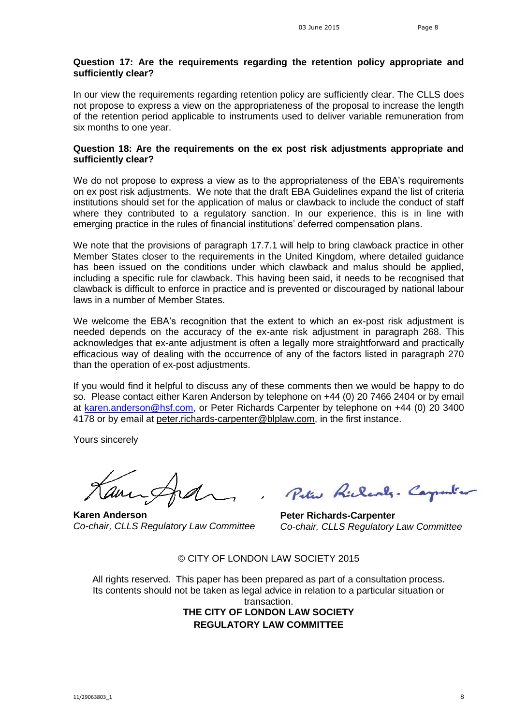# **Question 17: Are the requirements regarding the retention policy appropriate and sufficiently clear?**

In our view the requirements regarding retention policy are sufficiently clear. The CLLS does not propose to express a view on the appropriateness of the proposal to increase the length of the retention period applicable to instruments used to deliver variable remuneration from six months to one year.

#### **Question 18: Are the requirements on the ex post risk adjustments appropriate and sufficiently clear?**

We do not propose to express a view as to the appropriateness of the EBA's requirements on ex post risk adjustments. We note that the draft EBA Guidelines expand the list of criteria institutions should set for the application of malus or clawback to include the conduct of staff where they contributed to a regulatory sanction. In our experience, this is in line with emerging practice in the rules of financial institutions' deferred compensation plans.

We note that the provisions of paragraph 17.7.1 will help to bring clawback practice in other Member States closer to the requirements in the United Kingdom, where detailed guidance has been issued on the conditions under which clawback and malus should be applied, including a specific rule for clawback. This having been said, it needs to be recognised that clawback is difficult to enforce in practice and is prevented or discouraged by national labour laws in a number of Member States.

We welcome the EBA's recognition that the extent to which an ex-post risk adjustment is needed depends on the accuracy of the ex-ante risk adjustment in paragraph 268. This acknowledges that ex-ante adjustment is often a legally more straightforward and practically efficacious way of dealing with the occurrence of any of the factors listed in paragraph 270 than the operation of ex-post adjustments.

If you would find it helpful to discuss any of these comments then we would be happy to do so. Please contact either Karen Anderson by telephone on +44 (0) 20 7466 2404 or by email at [karen.anderson@hsf.com,](mailto:karen.anderson@hsf.com) or Peter Richards Carpenter by telephone on +44 (0) 20 3400 4178 or by email at peter richards-carpenter@blplaw.com, in the first instance.

Yours sincerely

amin

**Karen Anderson** *Co-chair, CLLS Regulatory Law Committee*

Peter Richards. Carpenter

**Peter Richards-Carpenter** *Co-chair, CLLS Regulatory Law Committee* 

© CITY OF LONDON LAW SOCIETY 2015

All rights reserved. This paper has been prepared as part of a consultation process. Its contents should not be taken as legal advice in relation to a particular situation or transaction. **THE CITY OF LONDON LAW SOCIETY REGULATORY LAW COMMITTEE**